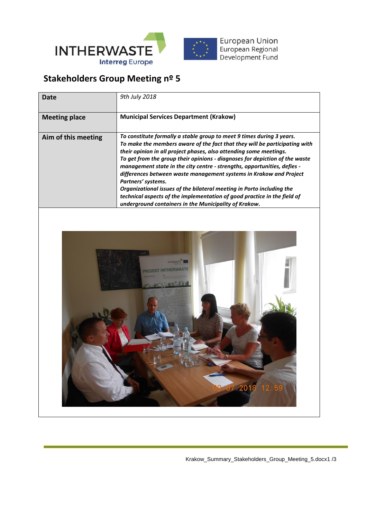

## **Stakeholders Group Meeting nº 5**

| <b>Date</b>          | 9th July 2018                                                                                                                                                                                                                                                                                                                                                                                                                                                                                                                                                                                                                                                                                  |
|----------------------|------------------------------------------------------------------------------------------------------------------------------------------------------------------------------------------------------------------------------------------------------------------------------------------------------------------------------------------------------------------------------------------------------------------------------------------------------------------------------------------------------------------------------------------------------------------------------------------------------------------------------------------------------------------------------------------------|
| <b>Meeting place</b> | <b>Municipal Services Department (Krakow)</b>                                                                                                                                                                                                                                                                                                                                                                                                                                                                                                                                                                                                                                                  |
| Aim of this meeting  | To constitute formally a stable group to meet 9 times during 3 years.<br>To make the members aware of the fact that they will be participating with<br>their opinion in all project phases, also attending some meetings.<br>To get from the group their opinions - diagnoses for depiction of the waste<br>management state in the city centre - strengths, opportunities, defies -<br>differences between waste management systems in Krakow and Project<br>Partners' systems.<br>Organizational issues of the bilateral meeting in Porto including the<br>technical aspects of the implementation of good practice in the field of<br>underground containers in the Municipality of Krakow. |
|                      |                                                                                                                                                                                                                                                                                                                                                                                                                                                                                                                                                                                                                                                                                                |

 $.2018$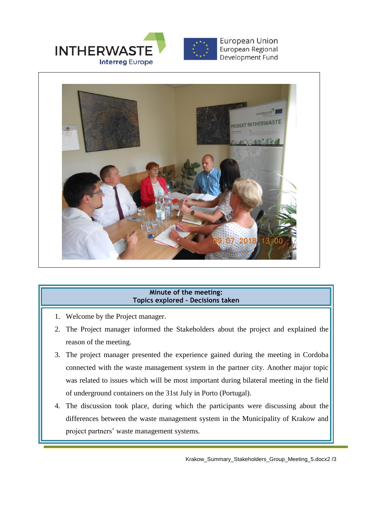



## **Minute of the meeting: Topics explored - Decisions taken**

- 1. Welcome by the Project manager.
- 2. The Project manager informed the Stakeholders about the project and explained the reason of the meeting.
- 3. The project manager presented the experience gained during the meeting in Cordoba connected with the waste management system in the partner city. Another major topic was related to issues which will be most important during bilateral meeting in the field of underground containers on the 31st July in Porto (Portugal).
- 4. The discussion took place, during which the participants were discussing about the differences between the waste management system in the Municipality of Krakow and project partners' waste management systems.

Krakow\_Summary\_Stakeholders\_Group\_Meeting\_5.docx2 /3